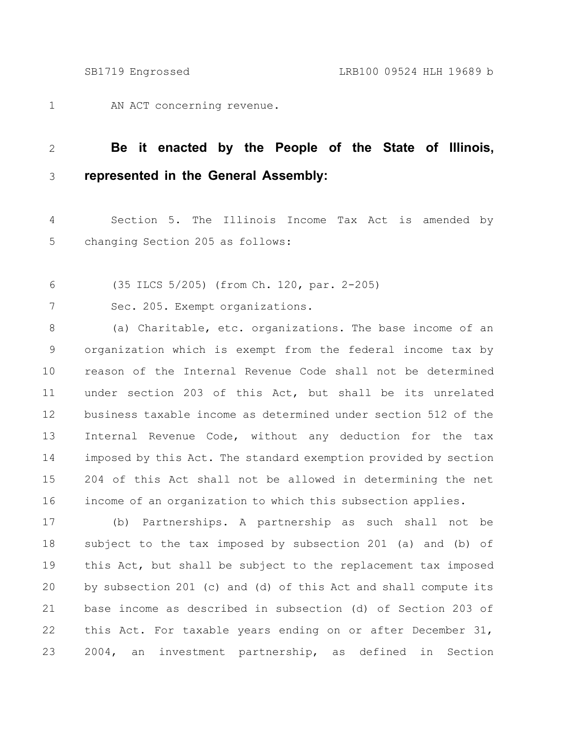AN ACT concerning revenue. 1

## **Be it enacted by the People of the State of Illinois, represented in the General Assembly:** 2 3

Section 5. The Illinois Income Tax Act is amended by changing Section 205 as follows: 4 5

(35 ILCS 5/205) (from Ch. 120, par. 2-205) 6

Sec. 205. Exempt organizations. 7

(a) Charitable, etc. organizations. The base income of an organization which is exempt from the federal income tax by reason of the Internal Revenue Code shall not be determined under section 203 of this Act, but shall be its unrelated business taxable income as determined under section 512 of the Internal Revenue Code, without any deduction for the tax imposed by this Act. The standard exemption provided by section 204 of this Act shall not be allowed in determining the net income of an organization to which this subsection applies. 8 9 10 11 12 13 14 15 16

(b) Partnerships. A partnership as such shall not be subject to the tax imposed by subsection 201 (a) and (b) of this Act, but shall be subject to the replacement tax imposed by subsection 201 (c) and (d) of this Act and shall compute its base income as described in subsection (d) of Section 203 of this Act. For taxable years ending on or after December 31, 2004, an investment partnership, as defined in Section 17 18 19 20 21 22 23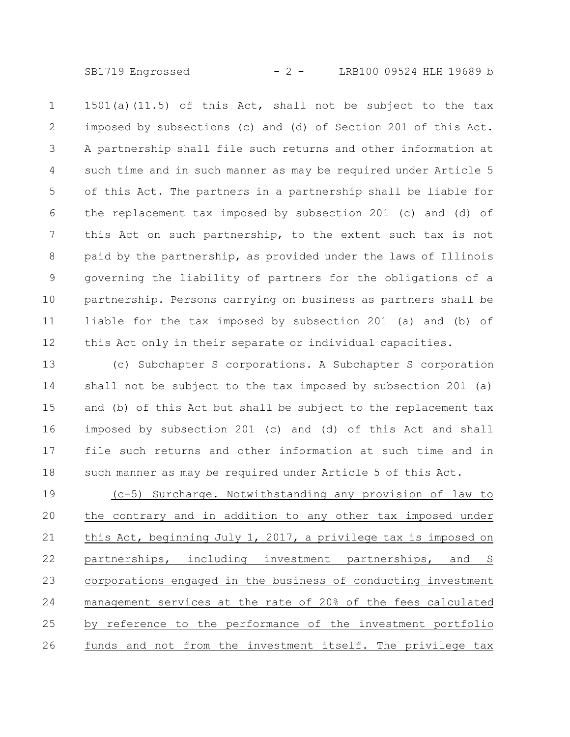SB1719 Engrossed - 2 - LRB100 09524 HLH 19689 b

1501(a)(11.5) of this Act, shall not be subject to the tax imposed by subsections (c) and (d) of Section 201 of this Act. A partnership shall file such returns and other information at such time and in such manner as may be required under Article 5 of this Act. The partners in a partnership shall be liable for the replacement tax imposed by subsection 201 (c) and (d) of this Act on such partnership, to the extent such tax is not paid by the partnership, as provided under the laws of Illinois governing the liability of partners for the obligations of a partnership. Persons carrying on business as partners shall be liable for the tax imposed by subsection 201 (a) and (b) of this Act only in their separate or individual capacities. 1 2 3 4 5 6 7 8 9 10 11 12

(c) Subchapter S corporations. A Subchapter S corporation shall not be subject to the tax imposed by subsection 201 (a) and (b) of this Act but shall be subject to the replacement tax imposed by subsection 201 (c) and (d) of this Act and shall file such returns and other information at such time and in such manner as may be required under Article 5 of this Act. 13 14 15 16 17 18

(c-5) Surcharge. Notwithstanding any provision of law to the contrary and in addition to any other tax imposed under this Act, beginning July 1, 2017, a privilege tax is imposed on partnerships, including investment partnerships, and S corporations engaged in the business of conducting investment management services at the rate of 20% of the fees calculated by reference to the performance of the investment portfolio funds and not from the investment itself. The privilege tax 19 20 21 22 23 24 25 26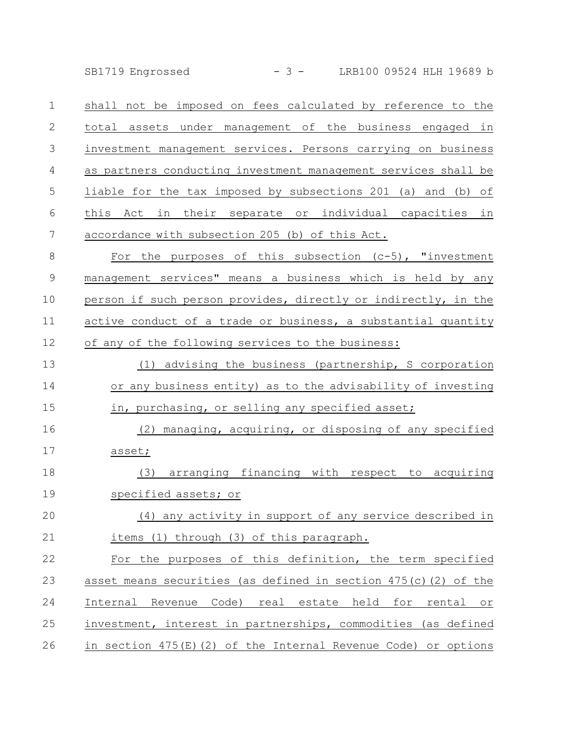SB1719 Engrossed - 3 - LRB100 09524 HLH 19689 b

shall not be imposed on fees calculated by reference to the total assets under management of the business engaged in investment management services. Persons carrying on business as partners conducting investment management services shall be liable for the tax imposed by subsections 201 (a) and (b) of this Act in their separate or individual capacities in accordance with subsection 205 (b) of this Act. 1 2 3 4 5 6 7

For the purposes of this subsection  $(c-5)$ , "investment management services" means a business which is held by any person if such person provides, directly or indirectly, in the active conduct of a trade or business, a substantial quantity of any of the following services to the business: 8 9 10 11 12

(1) advising the business (partnership, S corporation or any business entity) as to the advisability of investing in, purchasing, or selling any specified asset; 13 14 15

(2) managing, acquiring, or disposing of any specified asset; 16 17

(3) arranging financing with respect to acquiring specified assets; or 18 19

(4) any activity in support of any service described in items (1) through (3) of this paragraph. 20 21

For the purposes of this definition, the term specified asset means securities (as defined in section 475(c)(2) of the Internal Revenue Code) real estate held for rental or investment, interest in partnerships, commodities (as defined in section 475(E)(2) of the Internal Revenue Code) or options 22 23 24 25 26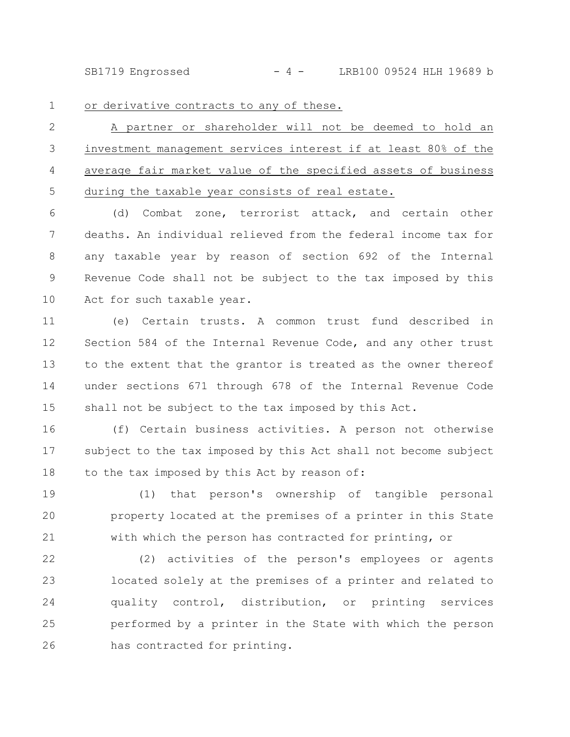SB1719 Engrossed - 4 - LRB100 09524 HLH 19689 b

1

or derivative contracts to any of these.

A partner or shareholder will not be deemed to hold an investment management services interest if at least 80% of the average fair market value of the specified assets of business during the taxable year consists of real estate. 2 3 4 5

(d) Combat zone, terrorist attack, and certain other deaths. An individual relieved from the federal income tax for any taxable year by reason of section 692 of the Internal Revenue Code shall not be subject to the tax imposed by this Act for such taxable year. 6 7 8 9 10

(e) Certain trusts. A common trust fund described in Section 584 of the Internal Revenue Code, and any other trust to the extent that the grantor is treated as the owner thereof under sections 671 through 678 of the Internal Revenue Code shall not be subject to the tax imposed by this Act. 11 12 13 14 15

(f) Certain business activities. A person not otherwise subject to the tax imposed by this Act shall not become subject to the tax imposed by this Act by reason of: 16 17 18

(1) that person's ownership of tangible personal property located at the premises of a printer in this State with which the person has contracted for printing, or 19 20 21

(2) activities of the person's employees or agents located solely at the premises of a printer and related to quality control, distribution, or printing services performed by a printer in the State with which the person has contracted for printing. 22 23 24 25 26